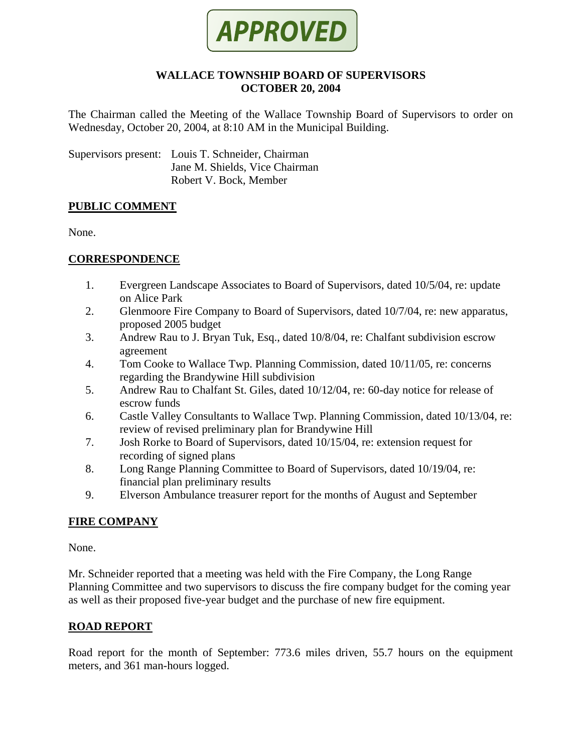

#### **WALLACE TOWNSHIP BOARD OF SUPERVISORS OCTOBER 20, 2004**

The Chairman called the Meeting of the Wallace Township Board of Supervisors to order on Wednesday, October 20, 2004, at 8:10 AM in the Municipal Building.

Supervisors present: Louis T. Schneider, Chairman Jane M. Shields, Vice Chairman Robert V. Bock, Member

#### **PUBLIC COMMENT**

None.

# **CORRESPONDENCE**

- 1. Evergreen Landscape Associates to Board of Supervisors, dated 10/5/04, re: update on Alice Park
- 2. Glenmoore Fire Company to Board of Supervisors, dated 10/7/04, re: new apparatus, proposed 2005 budget
- 3. Andrew Rau to J. Bryan Tuk, Esq., dated 10/8/04, re: Chalfant subdivision escrow agreement
- 4. Tom Cooke to Wallace Twp. Planning Commission, dated 10/11/05, re: concerns regarding the Brandywine Hill subdivision
- 5. Andrew Rau to Chalfant St. Giles, dated 10/12/04, re: 60-day notice for release of escrow funds
- 6. Castle Valley Consultants to Wallace Twp. Planning Commission, dated 10/13/04, re: review of revised preliminary plan for Brandywine Hill
- 7. Josh Rorke to Board of Supervisors, dated 10/15/04, re: extension request for recording of signed plans
- 8. Long Range Planning Committee to Board of Supervisors, dated 10/19/04, re: financial plan preliminary results
- 9. Elverson Ambulance treasurer report for the months of August and September

# **FIRE COMPANY**

None.

Mr. Schneider reported that a meeting was held with the Fire Company, the Long Range Planning Committee and two supervisors to discuss the fire company budget for the coming year as well as their proposed five-year budget and the purchase of new fire equipment.

#### **ROAD REPORT**

Road report for the month of September: 773.6 miles driven, 55.7 hours on the equipment meters, and 361 man-hours logged.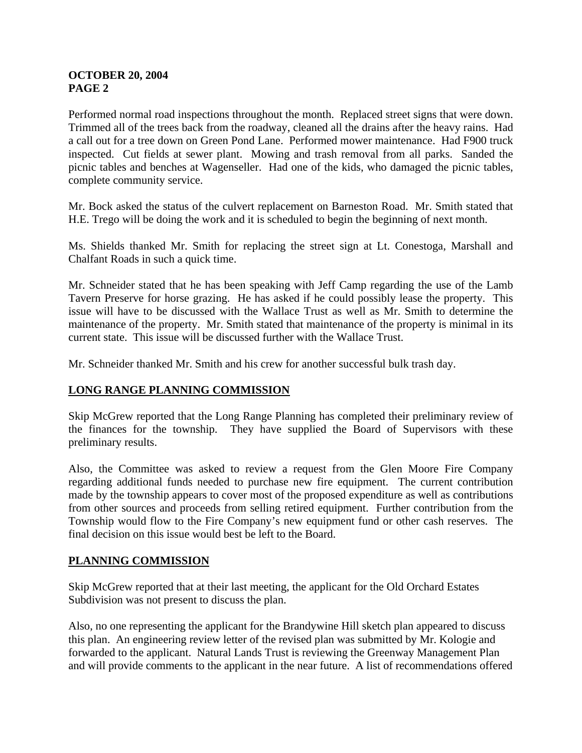# **OCTOBER 20, 2004 PAGE 2**

Performed normal road inspections throughout the month. Replaced street signs that were down. Trimmed all of the trees back from the roadway, cleaned all the drains after the heavy rains. Had a call out for a tree down on Green Pond Lane. Performed mower maintenance. Had F900 truck inspected. Cut fields at sewer plant. Mowing and trash removal from all parks. Sanded the picnic tables and benches at Wagenseller. Had one of the kids, who damaged the picnic tables, complete community service.

Mr. Bock asked the status of the culvert replacement on Barneston Road. Mr. Smith stated that H.E. Trego will be doing the work and it is scheduled to begin the beginning of next month.

Ms. Shields thanked Mr. Smith for replacing the street sign at Lt. Conestoga, Marshall and Chalfant Roads in such a quick time.

Mr. Schneider stated that he has been speaking with Jeff Camp regarding the use of the Lamb Tavern Preserve for horse grazing. He has asked if he could possibly lease the property. This issue will have to be discussed with the Wallace Trust as well as Mr. Smith to determine the maintenance of the property. Mr. Smith stated that maintenance of the property is minimal in its current state. This issue will be discussed further with the Wallace Trust.

Mr. Schneider thanked Mr. Smith and his crew for another successful bulk trash day.

# **LONG RANGE PLANNING COMMISSION**

Skip McGrew reported that the Long Range Planning has completed their preliminary review of the finances for the township. They have supplied the Board of Supervisors with these preliminary results.

Also, the Committee was asked to review a request from the Glen Moore Fire Company regarding additional funds needed to purchase new fire equipment. The current contribution made by the township appears to cover most of the proposed expenditure as well as contributions from other sources and proceeds from selling retired equipment. Further contribution from the Township would flow to the Fire Company's new equipment fund or other cash reserves. The final decision on this issue would best be left to the Board.

# **PLANNING COMMISSION**

Skip McGrew reported that at their last meeting, the applicant for the Old Orchard Estates Subdivision was not present to discuss the plan.

Also, no one representing the applicant for the Brandywine Hill sketch plan appeared to discuss this plan. An engineering review letter of the revised plan was submitted by Mr. Kologie and forwarded to the applicant. Natural Lands Trust is reviewing the Greenway Management Plan and will provide comments to the applicant in the near future. A list of recommendations offered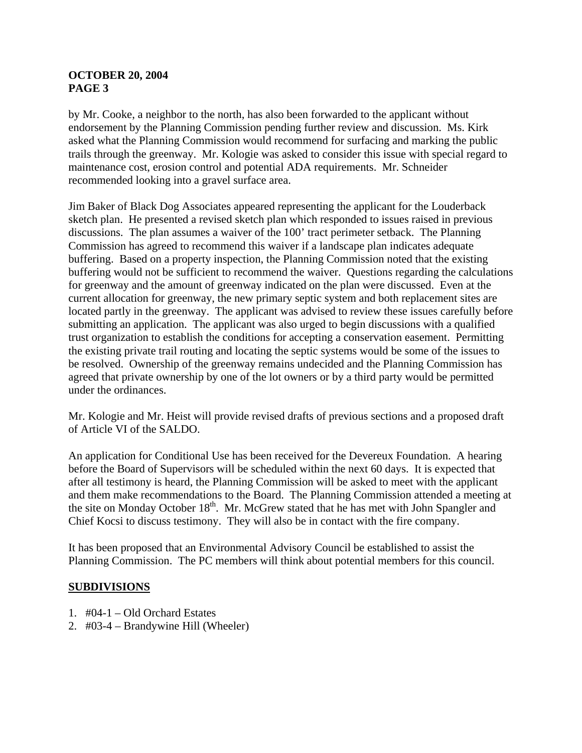### **OCTOBER 20, 2004 PAGE 3**

by Mr. Cooke, a neighbor to the north, has also been forwarded to the applicant without endorsement by the Planning Commission pending further review and discussion. Ms. Kirk asked what the Planning Commission would recommend for surfacing and marking the public trails through the greenway. Mr. Kologie was asked to consider this issue with special regard to maintenance cost, erosion control and potential ADA requirements. Mr. Schneider recommended looking into a gravel surface area.

Jim Baker of Black Dog Associates appeared representing the applicant for the Louderback sketch plan. He presented a revised sketch plan which responded to issues raised in previous discussions. The plan assumes a waiver of the 100' tract perimeter setback. The Planning Commission has agreed to recommend this waiver if a landscape plan indicates adequate buffering. Based on a property inspection, the Planning Commission noted that the existing buffering would not be sufficient to recommend the waiver. Questions regarding the calculations for greenway and the amount of greenway indicated on the plan were discussed. Even at the current allocation for greenway, the new primary septic system and both replacement sites are located partly in the greenway. The applicant was advised to review these issues carefully before submitting an application. The applicant was also urged to begin discussions with a qualified trust organization to establish the conditions for accepting a conservation easement. Permitting the existing private trail routing and locating the septic systems would be some of the issues to be resolved. Ownership of the greenway remains undecided and the Planning Commission has agreed that private ownership by one of the lot owners or by a third party would be permitted under the ordinances.

Mr. Kologie and Mr. Heist will provide revised drafts of previous sections and a proposed draft of Article VI of the SALDO.

An application for Conditional Use has been received for the Devereux Foundation. A hearing before the Board of Supervisors will be scheduled within the next 60 days. It is expected that after all testimony is heard, the Planning Commission will be asked to meet with the applicant and them make recommendations to the Board. The Planning Commission attended a meeting at the site on Monday October  $18<sup>th</sup>$ . Mr. McGrew stated that he has met with John Spangler and Chief Kocsi to discuss testimony. They will also be in contact with the fire company.

It has been proposed that an Environmental Advisory Council be established to assist the Planning Commission. The PC members will think about potential members for this council.

# **SUBDIVISIONS**

- 1. #04-1 Old Orchard Estates
- 2. #03-4 Brandywine Hill (Wheeler)